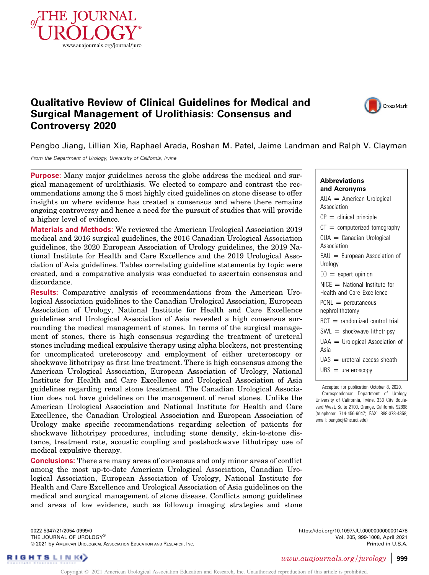

# Qualitative Review of Clinical Guidelines for Medical and Surgical Management of Urolithiasis: Consensus and Controversy 2020



Pengbo Jiang, Lillian Xie, Raphael Arada, Roshan M. Patel, Jaime Landman and Ralph V. Clayman

From the Department of Urology, University of California, Irvine

Purpose: Many major guidelines across the globe address the medical and surgical management of urolithiasis. We elected to compare and contrast the recommendations among the 5 most highly cited guidelines on stone disease to offer insights on where evidence has created a consensus and where there remains ongoing controversy and hence a need for the pursuit of studies that will provide a higher level of evidence.

Materials and Methods: We reviewed the American Urological Association 2019 medical and 2016 surgical guidelines, the 2016 Canadian Urological Association guidelines, the 2020 European Association of Urology guidelines, the 2019 National Institute for Health and Care Excellence and the 2019 Urological Association of Asia guidelines. Tables correlating guideline statements by topic were created, and a comparative analysis was conducted to ascertain consensus and discordance.

Results: Comparative analysis of recommendations from the American Urological Association guidelines to the Canadian Urological Association, European Association of Urology, National Institute for Health and Care Excellence guidelines and Urological Association of Asia revealed a high consensus surrounding the medical management of stones. In terms of the surgical management of stones, there is high consensus regarding the treatment of ureteral stones including medical expulsive therapy using alpha blockers, not prestenting for uncomplicated ureteroscopy and employment of either ureteroscopy or shockwave lithotripsy as first line treatment. There is high consensus among the American Urological Association, European Association of Urology, National Institute for Health and Care Excellence and Urological Association of Asia guidelines regarding renal stone treatment. The Canadian Urological Association does not have guidelines on the management of renal stones. Unlike the American Urological Association and National Institute for Health and Care Excellence, the Canadian Urological Association and European Association of Urology make specific recommendations regarding selection of patients for shockwave lithotripsy procedures, including stone density, skin-to-stone distance, treatment rate, acoustic coupling and postshockwave lithotripsy use of medical expulsive therapy.

Conclusions: There are many areas of consensus and only minor areas of conflict among the most up-to-date American Urological Association, Canadian Urological Association, European Association of Urology, National Institute for Health and Care Excellence and Urological Association of Asia guidelines on the medical and surgical management of stone disease. Conflicts among guidelines and areas of low evidence, such as followup imaging strategies and stone

0022-5347/21/2054-0999/0 THE JOURNAL OF UROLOGY® 2021 by AMERICAN UROLOGICAL ASSOCIATION EDUCATION AND RESEARCH, INC. Abbreviations and Acronyms

 $AUA =$  American Urological Association  $CP =$  clinical principle  $CT =$  computerized tomography  $CUA =$  Canadian Urological **Association**  $EAU = European Association of$ Urology  $EO =$  expert opinion  $NICE = National Institute for$ Health and Care Excellence  $PCNL =$  percutaneous nephrolithotomy  $RCT =$  randomized control trial  $SWL =$  shockwave lithotripsy  $UAA =$  Urological Association of Asia  $UAS =$  ureteral access sheath  $URS =$ ureteroscopy

Accepted for publication October 8, 2020. Correspondence: Department of Urology, University of California, Irvine, 333 City Boulevard West, Suite 2100, Orange, California 92868 (telephone: 714-456-6047; FAX: 888-378-4358; email: [pengboj@hs.uci.edu\)](mailto:pengboj@hs.uci.edu)



<https://doi.org/10.1097/JU.0000000000001478> Vol. 205, 999-1008, April 2021 Printed in U.S.A.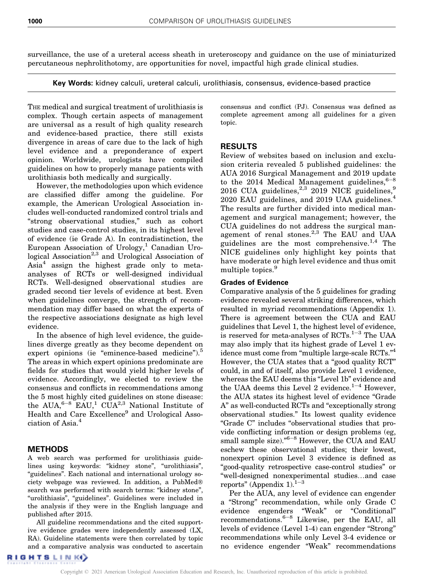surveillance, the use of a ureteral access sheath in ureteroscopy and guidance on the use of miniaturized percutaneous nephrolithotomy, are opportunities for novel, impactful high grade clinical studies.

Key Words: kidney calculi, ureteral calculi, urolithiasis, consensus, evidence-based practice

THE medical and surgical treatment of urolithiasis is complex. Though certain aspects of management are universal as a result of high quality research and evidence-based practice, there still exists divergence in areas of care due to the lack of high level evidence and a preponderance of expert opinion. Worldwide, urologists have compiled guidelines on how to properly manage patients with urolithiasis both medically and surgically.

However, the methodologies upon which evidence are classified differ among the guideline. For example, the American Urological Association includes well-conducted randomized control trials and "strong observational studies," such as cohort studies and case-control studies, in its highest level of evidence (ie Grade A). In contradistinction, the European Association of Urology,<sup>[1](#page-8-0)</sup> Canadian Urological Association<sup>2,3</sup> and Urological Association of Asia[4](#page-8-0) assign the highest grade only to metaanalyses of RCTs or well-designed individual RCTs. Well-designed observational studies are graded second tier levels of evidence at best. Even when guidelines converge, the strength of recommendation may differ based on what the experts of the respective associations designate as high level evidence.

In the absence of high level evidence, the guidelines diverge greatly as they become dependent on expert opinions (ie "eminence-based medicine").<sup>[5](#page-8-0)</sup> The areas in which expert opinions predominate are fields for studies that would yield higher levels of evidence. Accordingly, we elected to review the consensus and conflicts in recommendations among the 5 most highly cited guidelines on stone disease: the AUA,  $6-8$  EAU,<sup>[1](#page-8-0)</sup> CUA<sup>2,3</sup> National Institute of Health and Care Excellence<sup>[9](#page-8-0)</sup> and Urological Association of Asia.[4](#page-8-0)

# METHODS

A web search was performed for urolithiasis guidelines using keywords: "kidney stone", "urolithiasis", "guidelines". Each national and international urology society webpage was reviewed. In addition, a PubMed search was performed with search terms: "kidney stone", "urolithiasis", "guidelines". Guidelines were included in the analysis if they were in the English language and published after 2015.

All guideline recommendations and the cited supportive evidence grades were independently assessed (LX, RA). Guideline statements were then correlated by topic and a comparative analysis was conducted to ascertain

consensus and conflict (PJ). Consensus was defined as complete agreement among all guidelines for a given topic.

# RESULTS

Review of websites based on inclusion and exclusion criteria revealed 5 published guidelines: the AUA 2016 Surgical Management and 2019 update to the 2014 Medical Management guidelines, $6-8$ 2016 CUA guidelines, $^{2,3}$  201[9](#page-8-0) NICE guidelines, $^{9}$ 2020 EAU guidelines, and 2019 UAA guidelines.[4](#page-8-0) The results are further divided into medical management and surgical management; however, the CUA guidelines do not address the surgical management of renal stones.<sup>2,3</sup> The EAU and UAA guidelines are the most comprehensive.1,4 The NICE guidelines only highlight key points that have moderate or high level evidence and thus omit multiple topics.<sup>[9](#page-8-0)</sup>

## Grades of Evidence

Comparative analysis of the 5 guidelines for grading evidence revealed several striking differences, which resulted in myriad recommendations ([Appendix 1\)](#page-8-0). There is agreement between the CUA and EAU guidelines that Level 1, the highest level of evidence, is reserved for meta-analyses of RCTs. $1-3$  The UAA may also imply that its highest grade of Level 1 evidence must come from "multiple large-scale RCTs."[4](#page-8-0) However, the CUA states that a "good quality RCT" could, in and of itself, also provide Level 1 evidence, whereas the EAU deems this "Level 1b" evidence and the UAA deems this Level 2 evidence. $1-4$  However, the AUA states its highest level of evidence "Grade A" as well-conducted RCTs and "exceptionally strong observational studies." Its lowest quality evidence "Grade C" includes "observational studies that provide conflicting information or design problems (eg, small sample size)." $6-8$  However, the CUA and EAU eschew these observational studies; their lowest, nonexpert opinion Level 3 evidence is defined as "good-quality retrospective case-control studies" or "well-designed nonexperimental studies...and case reports" (Appendix  $1$ ).<sup>1-3</sup>

Per the AUA, any level of evidence can engender a "Strong" recommendation, while only Grade C evidence engenders "Weak" or "Conditional" recommendations.<sup>6-8</sup> Likewise, per the EAU, all levels of evidence (Level 1-4) can engender "Strong" recommendations while only Level 3-4 evidence or no evidence engender "Weak" recommendations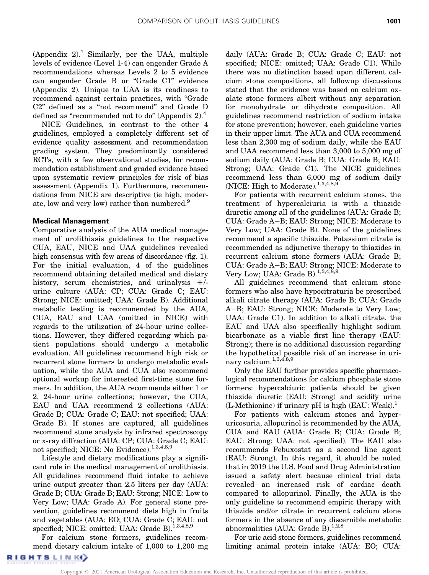[\(Appendix 2\)](#page-8-0).<sup>[1](#page-8-0)</sup> Similarly, per the UAA, multiple levels of evidence (Level 1-4) can engender Grade A recommendations whereas Levels 2 to 5 evidence can engender Grade B or "Grade C1" evidence [\(Appendix 2\)](#page-8-0). Unique to UAA is its readiness to recommend against certain practices, with "Grade C2" defined as a "not recommend" and Grade D defined as "recommended not to do" [\(Appendix 2](#page-8-0)). $4$ 

NICE Guidelines, in contrast to the other 4 guidelines, employed a completely different set of evidence quality assessment and recommendation grading system. They predominantly considered RCTs, with a few observational studies, for recommendation establishment and graded evidence based upon systematic review principles for risk of bias assessment [\(Appendix 1](#page-8-0)). Furthermore, recommendations from NICE are descriptive (ie high, moderate, low and very low) rather than numbered.<sup>9</sup>

#### Medical Management

Comparative analysis of the AUA medical management of urolithiasis guidelines to the respective CUA, EAU, NICE and UAA guidelines revealed high consensus with few areas of discordance ([fig. 1](#page-3-0)). For the initial evaluation, 4 of the guidelines recommend obtaining detailed medical and dietary history, serum chemistries, and urinalysis  $+/$ urine culture (AUA: CP; CUA: Grade C; EAU: Strong; NICE: omitted; UAA: Grade B). Additional metabolic testing is recommended by the AUA, CUA, EAU and UAA (omitted in NICE) with regards to the utilization of 24-hour urine collections. However, they differed regarding which patient populations should undergo a metabolic evaluation. All guidelines recommend high risk or recurrent stone formers to undergo metabolic evaluation, while the AUA and CUA also recommend optional workup for interested first-time stone formers. In addition, the AUA recommends either 1 or 2, 24-hour urine collections; however, the CUA, EAU and UAA recommend 2 collections (AUA: Grade B; CUA: Grade C; EAU: not specified; UAA: Grade B). If stones are captured, all guidelines recommend stone analysis by infrared spectroscopy or x-ray diffraction (AUA: CP; CUA: Grade C; EAU: not specified; NICE: No Evidence).<sup>1,3,4,8,9</sup>

Lifestyle and dietary modifications play a significant role in the medical management of urolithiasis. All guidelines recommend fluid intake to achieve urine output greater than 2.5 liters per day (AUA: Grade B; CUA: Grade B; EAU: Strong; NICE: Low to Very Low; UAA: Grade A). For general stone prevention, guidelines recommend diets high in fruits and vegetables (AUA: EO; CUA: Grade C; EAU: not specified; NICE: omitted; UAA: Grade B).<sup>1,3,4,8,9</sup>

For calcium stone formers, guidelines recommend dietary calcium intake of 1,000 to 1,200 mg

daily (AUA: Grade B; CUA: Grade C; EAU: not specified; NICE: omitted; UAA: Grade C1). While there was no distinction based upon different calcium stone compositions, all followup discussions stated that the evidence was based on calcium oxalate stone formers albeit without any separation for monohydrate or dihydrate composition. All guidelines recommend restriction of sodium intake for stone prevention; however, each guideline varies in their upper limit. The AUA and CUA recommend less than 2,300 mg of sodium daily, while the EAU and UAA recommend less than 3,000 to 5,000 mg of sodium daily (AUA: Grade B; CUA: Grade B; EAU: Strong; UAA: Grade C1). The NICE guidelines recommend less than 6,000 mg of sodium daily (NICE: High to Moderate).<sup>1,3,4,8,9</sup>

For patients with recurrent calcium stones, the treatment of hypercalciuria is with a thiazide diuretic among all of the guidelines (AUA: Grade B; CUA: Grade A-B; EAU: Strong; NICE: Moderate to Very Low; UAA: Grade B). None of the guidelines recommend a specific thiazide. Potassium citrate is recommended as adjunctive therapy to thiazides in recurrent calcium stone formers (AUA: Grade B; CUA: Grade A-B; EAU: Strong; NICE: Moderate to Very Low; UAA: Grade B). $^{1,3,4,\overline{8},9}$ 

All guidelines recommend that calcium stone formers who also have hypocitraturia be prescribed alkali citrate therapy (AUA: Grade B; CUA: Grade A-B; EAU: Strong; NICE: Moderate to Very Low; UAA: Grade C1). In addition to alkali citrate, the EAU and UAA also specifically highlight sodium bicarbonate as a viable first line therapy (EAU: Strong); there is no additional discussion regarding the hypothetical possible risk of an increase in urinary calcium.1,3,4,8,9

Only the EAU further provides specific pharmacological recommendations for calcium phosphate stone formers: hypercalciuric patients should be given thiazide diuretic (EAU: Strong) and acidify urine (L-Methionine) if urinary pH is high (EAU: Weak).<sup>1</sup>

For patients with calcium stones and hyperuricosuria, allopurinol is recommended by the AUA, CUA and EAU (AUA: Grade B; CUA: Grade B; EAU: Strong; UAA: not specified). The EAU also recommends Febuxostat as a second line agent (EAU: Strong). In this regard, it should be noted that in 2019 the U.S. Food and Drug Administration issued a safety alert because clinical trial data revealed an increased risk of cardiac death compared to allopurinol. Finally, the AUA is the only guideline to recommend empiric therapy with thiazide and/or citrate in recurrent calcium stone formers in the absence of any discernible metabolic abnormalities (AUA: Grade B). $^{1,2,8}$ 

For uric acid stone formers, guidelines recommend limiting animal protein intake (AUA: EO; CUA: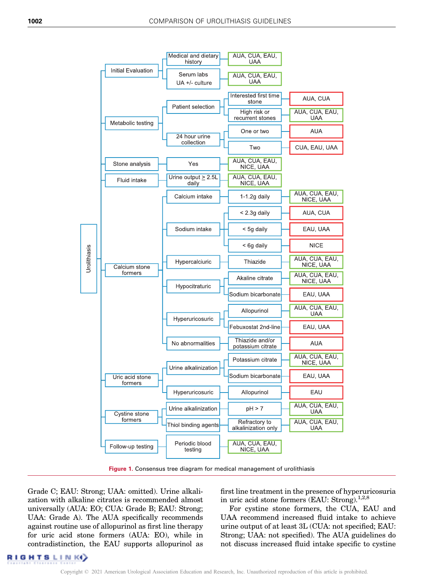<span id="page-3-0"></span>

Figure 1. Consensus tree diagram for medical management of urolithiasis

Grade C; EAU: Strong; UAA: omitted). Urine alkalization with alkaline citrates is recommended almost universally (AUA: EO; CUA: Grade B; EAU: Strong; UAA: Grade A). The AUA specifically recommends against routine use of allopurinol as first line therapy for uric acid stone formers (AUA: EO), while in contradistinction, the EAU supports allopurinol as first line treatment in the presence of hyperuricosuria in uric acid stone formers (EAU: Strong).<sup>1,2,8</sup>

For cystine stone formers, the CUA, EAU and UAA recommend increased fluid intake to achieve urine output of at least 3L (CUA: not specified; EAU: Strong; UAA: not specified). The AUA guidelines do not discuss increased fluid intake specific to cystine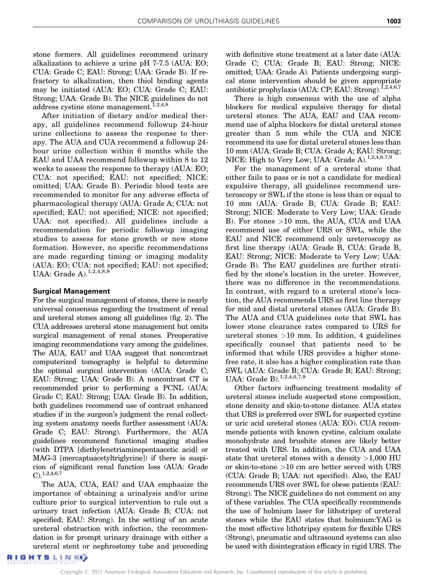stone formers. All guidelines recommend urinary alkalization to achieve a urine pH 7-7.5 (AUA: EO; CUA: Grade C; EAU: Strong; UAA: Grade B). If refractory to alkalization, then thiol binding agents may be initiated (AUA: EO; CUA: Grade C; EAU: Strong; UAA: Grade B). The NICE guidelines do not address cystine stone management.<sup>1,2,4,8</sup>

After initiation of dietary and/or medical therapy, all guidelines recommend followup 24-hour urine collections to assess the response to therapy. The AUA and CUA recommend a followup 24 hour urine collection within 6 months while the EAU and UAA recommend followup within 8 to 12 weeks to assess the response to therapy (AUA: EO; CUA: not specified; EAU: not specified; NICE: omitted; UAA: Grade B). Periodic blood tests are recommended to monitor for any adverse effects of pharmacological therapy (AUA: Grade A; CUA: not specified; EAU: not specified; NICE: not specified; UAA: not specified). All guidelines include a recommendation for periodic followup imaging studies to assess for stone growth or new stone formation. However, no specific recommendations are made regarding timing or imaging modality (AUA: EO; CUA: not specified; EAU: not specified; UAA: Grade A). $1,2,4,8,9$ 

#### Surgical Management

For the surgical management of stones, there is nearly universal consensus regarding the treatment of renal and ureteral stones among all guidelines [\(fig. 2](#page-5-0)). The CUA addresses ureteral stone management but omits surgical management of renal stones. Preoperative imaging recommendations vary among the guidelines. The AUA, EAU and UAA suggest that noncontrast computerized tomography is helpful to determine the optimal surgical intervention (AUA: Grade C; EAU: Strong; UAA: Grade B). A noncontrast CT is recommended prior to performing a PCNL (AUA: Grade C; EAU: Strong; UAA: Grade B). In addition, both guidelines recommend use of contrast enhanced studies if in the surgeon's judgment the renal collecting system anatomy needs further assessment (AUA: Grade C; EAU: Strong). Furthermore, the AUA guidelines recommend functional imaging studies (with DTPA [diethylenetriaminepentaacetic acid] or MAG-3 [mercaptuacetyltriglycine]) if there is suspicion of significant renal function loss (AUA: Grade  $C$ ).<sup>1,2,4,6,7</sup>

The AUA, CUA, EAU and UAA emphasize the importance of obtaining a urinalysis and/or urine culture prior to surgical intervention to rule out a urinary tract infection (AUA: Grade B; CUA: not specified; EAU: Strong). In the setting of an acute ureteral obstruction with infection, the recommendation is for prompt urinary drainage with either a ureteral stent or nephrostomy tube and proceeding with definitive stone treatment at a later date (AUA: Grade C; CUA: Grade B; EAU: Strong; NICE: omitted; UAA: Grade A). Patients undergoing surgical stone intervention should be given appropriate antibiotic prophylaxis (AUA: CP; EAU: Strong).<sup>1,2,4,6,7</sup>

There is high consensus with the use of alpha blockers for medical expulsive therapy for distal ureteral stones. The AUA, EAU and UAA recommend use of alpha blockers for distal ureteral stones greater than 5 mm while the CUA and NICE recommend its use for distal ureteral stones less than 10 mm (AUA: Grade B; CUA: Grade A; EAU: Strong; NICE: High to Very Low; UAA: Grade A).<sup>1,2,4,6,7,9</sup>

For the management of a ureteral stone that either fails to pass or is not a candidate for medical expulsive therapy, all guidelines recommend ureteroscopy or SWL if the stone is less than or equal to 10 mm (AUA: Grade B; CUA: Grade B; EAU: Strong; NICE: Moderate to Very Low; UAA: Grade B). For stones >10 mm, the AUA, CUA and UAA recommend use of either URS or SWL, while the EAU and NICE recommend only ureteroscopy as first line therapy (AUA: Grade B, CUA: Grade B, EAU: Strong; NICE: Moderate to Very Low; UAA: Grade B). The EAU guidelines are further stratified by the stone's location in the ureter. However, there was no difference in the recommendations. In contrast, with regard to a ureteral stone's location, the AUA recommends URS as first line therapy for mid and distal ureteral stones (AUA: Grade B). The AUA and CUA guidelines note that SWL has lower stone clearance rates compared to URS for ureteral stones  $>10$  mm. In addition, 4 guidelines specifically counsel that patients need to be informed that while URS provides a higher stonefree rate, it also has a higher complication rate than SWL (AUA: Grade B; CUA: Grade B; EAU: Strong; UAA: Grade B).<sup>1,2,4,6,7,9</sup>

Other factors influencing treatment modality of ureteral stones include suspected stone composition, stone density and skin-to-stone distance. AUA states that URS is preferred over SWL for suspected cystine or uric acid ureteral stones (AUA: EO). CUA recommends patients with known cystine, calcium oxalate monohydrate and brushite stones are likely better treated with URS. In addition, the CUA and UAA state that ureteral stones with a density >1,000 HU or skin-to-stone >10 cm are better served with URS (CUA: Grade B; UAA: not specified). Also, the EAU recommends URS over SWL for obese patients (EAU: Strong). The NICE guidelines do not comment on any of these variables. The CUA specifically recommends the use of holmium laser for lithotripsy of ureteral stones while the EAU states that holmium:YAG is the most effective lithotripsy system for flexible URS (Strong), pneumatic and ultrasound systems can also be used with disintegration efficacy in rigid URS. The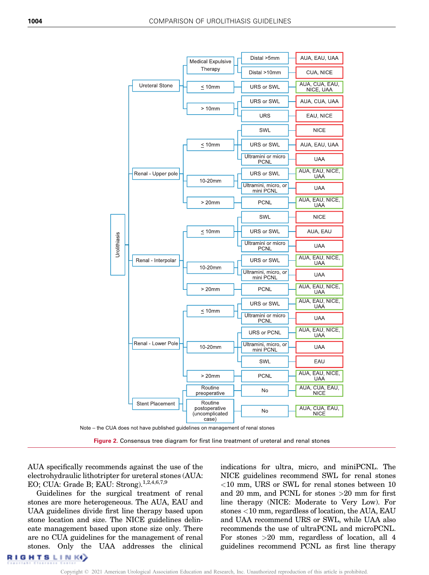<span id="page-5-0"></span>

Note - the CUA does not have published guidelines on management of renal stones



AUA specifically recommends against the use of the electrohydraulic lithotripter for ureteral stones (AUA: EO; CUA: Grade B; EAU: Strong).<sup>1,2,4,6,7,9</sup>

Guidelines for the surgical treatment of renal stones are more heterogeneous. The AUA, EAU and UAA guidelines divide first line therapy based upon stone location and size. The NICE guidelines delineate management based upon stone size only. There are no CUA guidelines for the management of renal stones. Only the UAA addresses the clinical indications for ultra, micro, and miniPCNL. The NICE guidelines recommend SWL for renal stones <10 mm, URS or SWL for renal stones between 10 and 20 mm, and PCNL for stones >20 mm for first line therapy (NICE: Moderate to Very Low). For stones <10 mm, regardless of location, the AUA, EAU and UAA recommend URS or SWL, while UAA also recommends the use of ultraPCNL and microPCNL. For stones >20 mm, regardless of location, all 4 guidelines recommend PCNL as first line therapy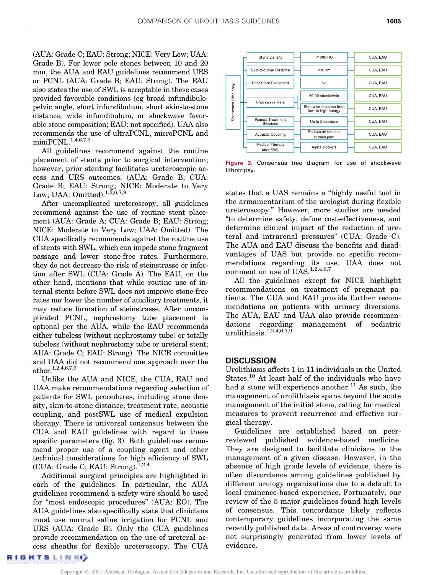(AUA: Grade C; EAU: Strong; NICE: Very Low; UAA: Grade B). For lower pole stones between 10 and 20 mm, the AUA and EAU guidelines recommend URS or PCNL (AUA: Grade B; EAU: Strong). The EAU also states the use of SWL is acceptable in these cases provided favorable conditions (eg broad infundibulopelvic angle, short infundibulum, short skin-to-stone distance, wide infundibulum, or shockwave favorable stone composition; EAU: not specified). UAA also recommends the use of ultraPCNL, microPCNL and miniPCNL.<sup>1,4,6,7,9</sup>

All guidelines recommend against the routine placement of stents prior to surgical intervention; however, prior stenting facilitates ureteroscopic access and URS outcomes. (AUA: Grade B; CUA: Grade B; EAU: Strong; NICE: Moderate to Very Low; UAA: Omitted). $1,\tilde{2},6,7,9$ 

After uncomplicated ureteroscopy, all guidelines recommend against the use of routine stent placement (AUA: Grade A; CUA: Grade B; EAU: Strong; NICE: Moderate to Very Low; UAA: Omitted). The CUA specifically recommends against the routine use of stents with SWL, which can impede stone fragment passage and lower stone-free rates. Furthermore, they do not decrease the risk of steinstrasse or infection after SWL (CUA: Grade A). The EAU, on the other hand, mentions that while routine use of internal stents before SWL does not improve stone-free rates nor lower the number of auxiliary treatments, it may reduce formation of steinstrasse. After uncomplicated PCNL, nephrostomy tube placement is optional per the AUA, while the EAU recommends either tubeless (without nephrostomy tube) or totally tubeless (without nephrostomy tube or ureteral stent; AUA: Grade C; EAU: Strong). The NICE committee and UAA did not recommend one approach over the other.1,2,4,6,7,9

Unlike the AUA and NICE, the CUA, EAU and UAA make recommendations regarding selection of patients for SWL procedures, including stone density, skin-to-stone distance, treatment rate, acoustic coupling, and postSWL use of medical expulsion therapy. There is universal consensus between the CUA and EAU guidelines with regard to these specific parameters (fig. 3). Both guidelines recommend proper use of a coupling agent and other technical considerations for high efficiency of SWL (CUA: Grade C; EAU: Strong). $1,2,4$ 

Additional surgical principles are highlighted in each of the guidelines. In particular, the AUA guidelines recommend a safety wire should be used for "most endoscopic procedures" (AUA: EO). The AUA guidelines also specifically state that clinicians must use normal saline irrigation for PCNL and URS (AUA: Grade B). Only the CUA guidelines provide recommendation on the use of ureteral access sheaths for flexible ureteroscopy. The CUA



Figure 3. Consensus tree diagram for use of shockwave lithotripsy.

states that a UAS remains a "highly useful tool in the armamentarium of the urologist during flexible ureteroscopy." However, more studies are needed "to determine safety, define cost-effectiveness, and determine clinical impact of the reduction of ureteral and intrarenal pressures" (CUA: Grade C). The AUA and EAU discuss the benefits and disadvantages of UAS but provide no specific recommendations regarding its use. UAA does not comment on use of UAS. $^{1,2,4,6,7}$ 

All the guidelines except for NICE highlight recommendations on treatment of pregnant patients. The CUA and EAU provide further recommendations on patients with urinary diversions. The AUA, EAU and UAA also provide recommendations regarding management of pediatric urolithiasis. $^{1,2,4,6,7,9}$ 

### **DISCUSSION**

Urolithiasis affects 1 in 11 individuals in the United States.<sup>[10](#page-8-0)</sup> At least half of the individuals who have had a stone will experience another.<sup>[11](#page-8-0)</sup> As such, the management of urolithiasis spans beyond the acute management of the initial stone, calling for medical measures to prevent recurrence and effective surgical therapy.

Guidelines are established based on peerreviewed published evidence-based medicine. They are designed to facilitate clinicians in the management of a given disease. However, in the absence of high grade levels of evidence, there is often discordance among guidelines published by different urology organizations due to a default to local eminence-based experience. Fortunately, our review of the 5 major guidelines found high levels of consensus. This concordance likely reflects contemporary guidelines incorporating the same recently published data. Areas of controversy were not surprisingly generated from lower levels of evidence.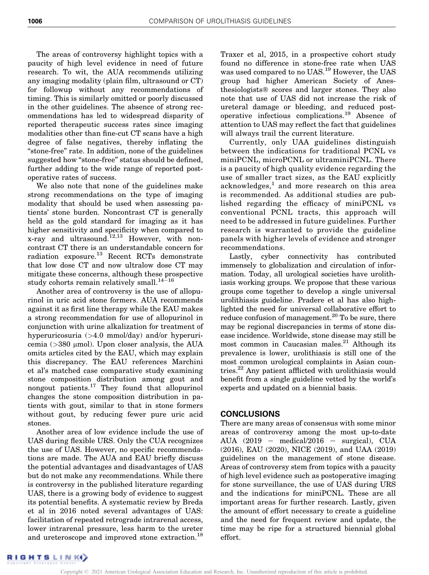The areas of controversy highlight topics with a paucity of high level evidence in need of future research. To wit, the AUA recommends utilizing any imaging modality (plain film, ultrasound or CT) for followup without any recommendations of timing. This is similarly omitted or poorly discussed in the other guidelines. The absence of strong recommendations has led to widespread disparity of reported therapeutic success rates since imaging modalities other than fine-cut CT scans have a high degree of false negatives, thereby inflating the "stone-free" rate. In addition, none of the guidelines suggested how "stone-free" status should be defined, further adding to the wide range of reported postoperative rates of success.

We also note that none of the guidelines make strong recommendations on the type of imaging modality that should be used when assessing patients' stone burden. Noncontrast CT is generally held as the gold standard for imaging as it has higher sensitivity and specificity when compared to  $x-ray$  and ultrasound.<sup>12,13</sup> However, with noncontrast CT there is an understandable concern for radiation exposure.[13](#page-8-0) Recent RCTs demonstrate that low dose CT and now ultralow dose CT may mitigate these concerns, although these prospective study cohorts remain relatively small.<sup>14-16</sup>

Another area of controversy is the use of allopurinol in uric acid stone formers. AUA recommends against it as first line therapy while the EAU makes a strong recommendation for use of allopurinol in conjunction with urine alkalization for treatment of hyperuricosuria (>4.0 mmol/day) and/or hyperuricemia ( $>380$  µmol). Upon closer analysis, the AUA omits articles cited by the EAU, which may explain this discrepancy. The EAU references Marchini et al's matched case comparative study examining stone composition distribution among gout and nongout patients.<sup>[17](#page-9-0)</sup> They found that allopurinol changes the stone composition distribution in patients with gout, similar to that in stone formers without gout, by reducing fewer pure uric acid stones.

Another area of low evidence include the use of UAS during flexible URS. Only the CUA recognizes the use of UAS. However, no specific recommendations are made. The AUA and EAU briefly discuss the potential advantages and disadvantages of UAS but do not make any recommendations. While there is controversy in the published literature regarding UAS, there is a growing body of evidence to suggest its potential benefits. A systematic review by Breda et al in 2016 noted several advantages of UAS: facilitation of repeated retrograde intrarenal access, lower intrarenal pressure, less harm to the ureter and ureteroscope and improved stone extraction.<sup>[18](#page-9-0)</sup>

Traxer et al, 2015, in a prospective cohort study found no difference in stone-free rate when UAS was used compared to no UAS[.19](#page-9-0) However, the UAS group had higher American Society of Anesthesiologists<sup>®</sup> scores and larger stones. They also note that use of UAS did not increase the risk of ureteral damage or bleeding, and reduced postoperative infectious complications.[19](#page-9-0) Absence of attention to UAS may reflect the fact that guidelines will always trail the current literature.

Currently, only UAA guidelines distinguish between the indications for traditional PCNL vs miniPCNL, microPCNL or ultraminiPCNL. There is a paucity of high quality evidence regarding the use of smaller tract sizes, as the EAU explicitly  $acknowledges<sup>1</sup>$  $acknowledges<sup>1</sup>$  $acknowledges<sup>1</sup>$  and more research on this area is recommended. As additional studies are published regarding the efficacy of miniPCNL vs conventional PCNL tracts, this approach will need to be addressed in future guidelines. Further research is warranted to provide the guideline panels with higher levels of evidence and stronger recommendations.

Lastly, cyber connectivity has contributed immensely to globalization and circulation of information. Today, all urological societies have urolithiasis working groups. We propose that these various groups come together to develop a single universal urolithiasis guideline. Pradere et al has also highlighted the need for universal collaborative effort to reduce confusion of management.<sup>20</sup> To be sure, there may be regional discrepancies in terms of stone disease incidence. Worldwide, stone disease may still be most common in Caucasian males. $^{21}$  $^{21}$  $^{21}$  Although its prevalence is lower, urolithiasis is still one of the most common urological complaints in Asian countries[.22](#page-9-0) Any patient afflicted with urolithiasis would benefit from a single guideline vetted by the world's experts and updated on a biennial basis.

#### **CONCLUSIONS**

There are many areas of consensus with some minor areas of controversy among the most up-to-date AUA  $(2019$  – medical/2016 – surgical), CUA (2016), EAU (2020), NICE (2019), and UAA (2019) guidelines on the management of stone disease. Areas of controversy stem from topics with a paucity of high level evidence such as postoperative imaging for stone surveillance, the use of UAS during URS and the indications for miniPCNL. These are all important areas for further research. Lastly, given the amount of effort necessary to create a guideline and the need for frequent review and update, the time may be ripe for a structured biennial global effort.

RIGHTSLINK)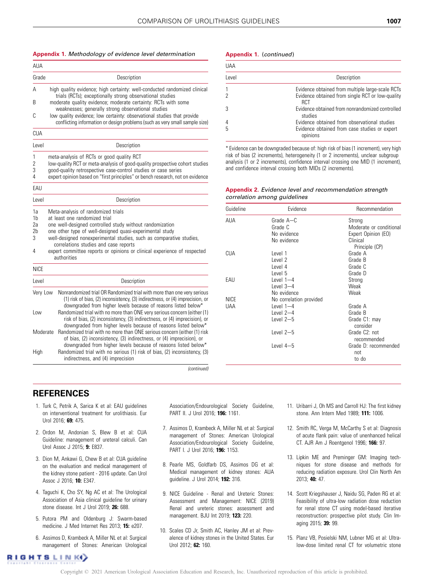#### <span id="page-8-0"></span>Appendix 1. Methodology of evidence level determination

| AUA            |                                                                                                                                                                                                                                                                                      |  |  |  |  |
|----------------|--------------------------------------------------------------------------------------------------------------------------------------------------------------------------------------------------------------------------------------------------------------------------------------|--|--|--|--|
| Grade          | Description                                                                                                                                                                                                                                                                          |  |  |  |  |
| А              | high quality evidence; high certainty: well-conducted randomized clinical<br>trials (RCTs); exceptionally strong observational studies                                                                                                                                               |  |  |  |  |
| B              | moderate quality evidence; moderate certainty: RCTs with some<br>weaknesses; generally strong observational studies                                                                                                                                                                  |  |  |  |  |
| C              | low quality evidence; low certainty: observational studies that provide<br>conflicting information or design problems (such as very small sample size)                                                                                                                               |  |  |  |  |
| <b>CUA</b>     |                                                                                                                                                                                                                                                                                      |  |  |  |  |
| Level          | Description                                                                                                                                                                                                                                                                          |  |  |  |  |
| 1              | meta-analysis of RCTs or good quality RCT                                                                                                                                                                                                                                            |  |  |  |  |
| $\overline{c}$ | low-quality RCT or meta-analysis of good-quality prospective cohort studies                                                                                                                                                                                                          |  |  |  |  |
| 3<br>4         | good-quality retrospective case-control studies or case series                                                                                                                                                                                                                       |  |  |  |  |
|                | expert opinion based on "first principles" or bench research, not on evidence                                                                                                                                                                                                        |  |  |  |  |
| EAU            |                                                                                                                                                                                                                                                                                      |  |  |  |  |
| Level          | Description                                                                                                                                                                                                                                                                          |  |  |  |  |
| 1a             | Meta-analysis of randomized trials                                                                                                                                                                                                                                                   |  |  |  |  |
| 1b             | at least one randomized trial                                                                                                                                                                                                                                                        |  |  |  |  |
| 2a             | one well-designed controlled study without randomization                                                                                                                                                                                                                             |  |  |  |  |
| 2b             | one other type of well-designed quasi-experimental study                                                                                                                                                                                                                             |  |  |  |  |
| 3              | well-designed nonexperimental studies, such as comparative studies,<br>correlations studies and case reports                                                                                                                                                                         |  |  |  |  |
| 4              | expert committee reports or opinions or clinical experience of respected<br>authorities                                                                                                                                                                                              |  |  |  |  |
| <b>NICE</b>    |                                                                                                                                                                                                                                                                                      |  |  |  |  |
| Level          | Description                                                                                                                                                                                                                                                                          |  |  |  |  |
| Very Low       | Nonrandomized trial OR Randomized trial with more than one very serious<br>(1) risk of bias, (2) inconsistency, (3) indirectness, or (4) imprecision, or                                                                                                                             |  |  |  |  |
| Low            | downgraded from higher levels because of reasons listed below*<br>Randomized trial with no more than ONE very serious concern (either (1)<br>risk of bias, (2) inconsistency, (3) indirectness, or (4) imprecision), or                                                              |  |  |  |  |
| Moderate       | downgraded from higher levels because of reasons listed below*<br>Randomized trial with no more than ONE serious concern (either (1) risk<br>of bias, (2) inconsistency, (3) indirectness, or (4) imprecision), or<br>downgraded from higher levels because of reasons listed below* |  |  |  |  |
| High           | Randomized trial with no serious (1) risk of bias, (2) inconsistency, (3)<br>indirectness, and (4) imprecision                                                                                                                                                                       |  |  |  |  |

(continued)

# REFERENCES

- 1. Turk C, Petrik A, Sarica K et al: EAU guidelines on interventional treatment for urolithiasis. Eur Urol 2016; 69: 475.
- 2. Ordon M, Andonian S, Blew B et al: CUA Guideline: management of ureteral calculi. Can Urol Assoc J 2015; 9: E837.
- 3. Dion M, Ankawi G, Chew B et al: CUA guideline on the evaluation and medical management of the kidney stone patient - 2016 update. Can Urol Assoc J 2016; 10: E347.
- 4. Taguchi K, Cho SY, Ng AC et al: The Urological Association of Asia clinical guideline for urinary stone disease. Int J Urol 2019; 26: 688.
- 5. Putora PM and Oldenburg J: Swarm-based medicine. J Med Internet Res 2013; 15: e207.
- 6. Assimos D, Krambeck A, Miller NL et al: Surgical management of Stones: American Urological
- Association/Endourological Society Guideline, PART II. J Urol 2016; 196: 1161.
- 7. Assimos D, Krambeck A, Miller NL et al: Surgical management of Stones: American Urological Association/Endourological Society Guideline, PART I. J Urol 2016; 196: 1153.
- 8. Pearle MS, Goldfarb DS, Assimos DG et al: Medical management of kidney stones: AUA guideline. J Urol 2014; 192: 316.
- 9. NICE Guideline Renal and Ureteric Stones: Assessment and Management: NICE (2019) Renal and ureteric stones: assessment and management. BJU Int 2019; **123:** 220.
- 10. Scales CD Jr, Smith AC, Hanley JM et al: Prevalence of kidney stones in the United States. Eur Urol 2012; 62: 160.

#### Appendix 1. (continued)

| <b>UAA</b> |                                                                |  |  |
|------------|----------------------------------------------------------------|--|--|
| Level      | Description                                                    |  |  |
|            | Evidence obtained from multiple large-scale RCTs               |  |  |
|            | Evidence obtained from single RCT or low-quality<br><b>RCT</b> |  |  |
| 3          | Evidence obtained from nonrandomized controlled<br>studies     |  |  |
|            | Evidence obtained from observational studies                   |  |  |
| 5          | Evidence obtained from case studies or expert<br>opinions      |  |  |

\* Evidence can be downgraded because of: high risk of bias (1 increment), very high risk of bias (2 increments), heterogeneity (1 or 2 increments), unclear subgroup analysis (1 or 2 increments), confidence interval crossing one MID (1 increment), and confidence interval crossing both MIDs (2 increments).

| <b>Appendix 2.</b> Evidence level and recommendation strength |  |
|---------------------------------------------------------------|--|
| correlation among guidelines                                  |  |

| Guideline   | Evidence                              | <b>Recommendation</b>                                    |
|-------------|---------------------------------------|----------------------------------------------------------|
| AUA         | Grade $A-C$<br>Grade C<br>No evidence | Strong<br>Moderate or conditional<br>Expert Opinion (EO) |
|             | No evidence                           | Clinical                                                 |
|             |                                       | Principle (CP)                                           |
| CUA         | Level 1                               | Grade A                                                  |
|             | Level 2                               | Grade B                                                  |
|             | Level 4                               | Grade C                                                  |
|             | Level 5                               | Grade D                                                  |
| EAU         | Level $1-4$                           | Strong                                                   |
|             | Level $3-4$                           | Weak                                                     |
|             | No evidence                           | Weak                                                     |
| <b>NICE</b> | No correlation provided               |                                                          |
| UAA         | Level $1-4$                           | Grade A                                                  |
|             | Level $2-4$                           | Grade B                                                  |
|             | Level $2-5$                           | Grade C1: may<br>consider                                |
|             | Level $2-5$                           | Grade C <sub>2</sub> : not<br>recommended                |
|             | Level $4-5$                           | Grade D: recommended<br>not<br>to do                     |

- 11. Uribarri J, Oh MS and Carroll HJ: The first kidney stone. Ann Intern Med 1989; 111: 1006.
- 12. Smith RC, Verga M, McCarthy S et al: Diagnosis of acute flank pain: value of unenhanced helical CT. AJR Am J Roentgenol 1996; 166: 97.
- 13. Lipkin ME and Preminger GM: Imaging techniques for stone disease and methods for reducing radiation exposure. Urol Clin North Am 2013; 40: 47.
- 14. Scott Kriegshauser J, Naidu SG, Paden RG et al: Feasibility of ultra-low radiation dose reduction for renal stone CT using model-based iterative reconstruction: prospective pilot study. Clin Imaging 2015; 39: 99.
- 15. Planz VB, Posielski NM, Lubner MG et al: Ultralow-dose limited renal CT for volumetric stone

### RIGHTSLINK()